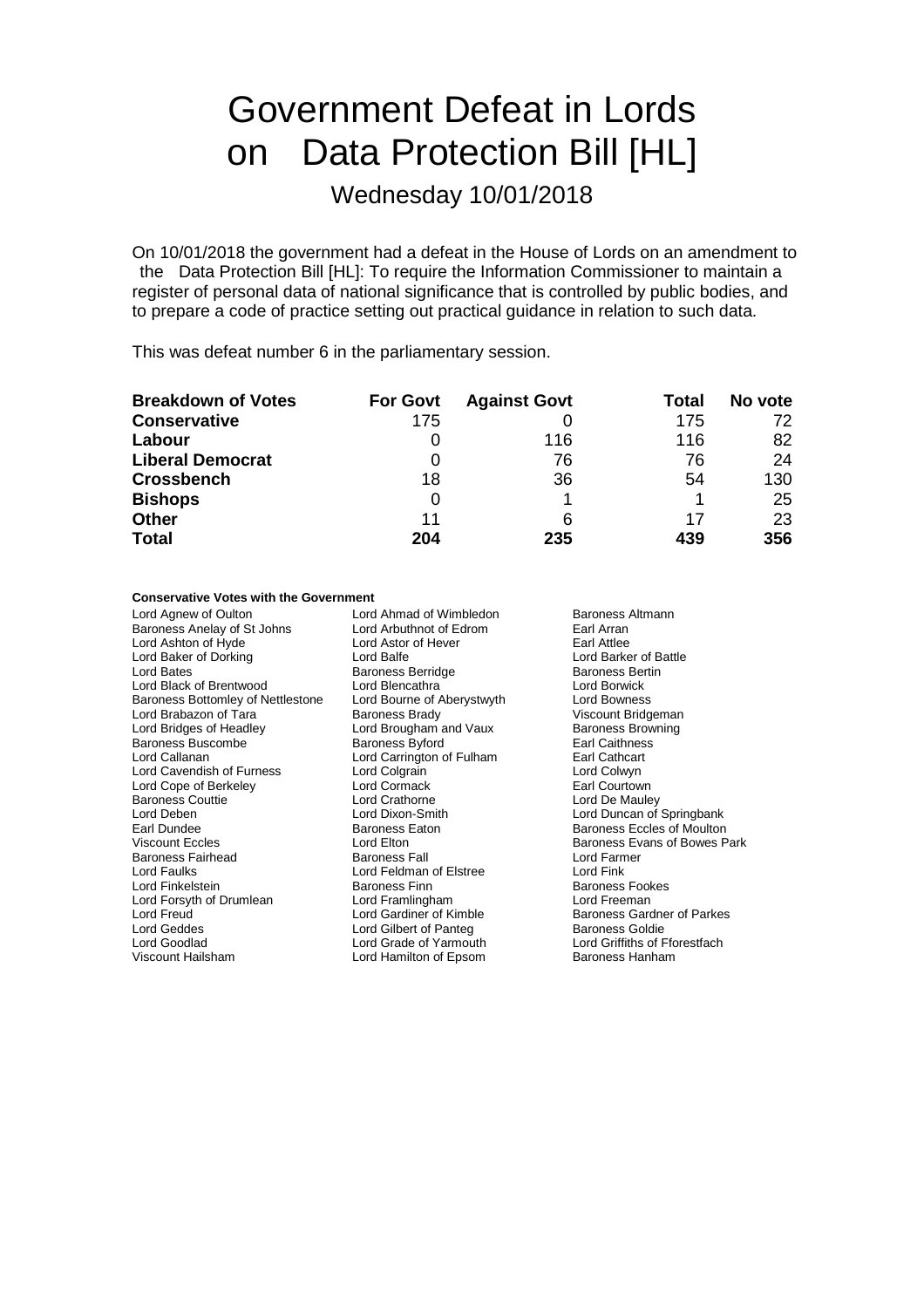# Government Defeat in Lords on Data Protection Bill [HL]

## Wednesday 10/01/2018

On 10/01/2018 the government had a defeat in the House of Lords on an amendment to the Data Protection Bill [HL]: To require the Information Commissioner to maintain a register of personal data of national significance that is controlled by public bodies, and to prepare a code of practice setting out practical guidance in relation to such data.

This was defeat number 6 in the parliamentary session.

| <b>Breakdown of Votes</b> | <b>For Govt</b> | <b>Against Govt</b> | Total | No vote |
|---------------------------|-----------------|---------------------|-------|---------|
| <b>Conservative</b>       | 175             |                     | 175   | 72      |
| Labour                    |                 | 116                 | 116   | 82      |
| <b>Liberal Democrat</b>   |                 | 76                  | 76    | 24      |
| <b>Crossbench</b>         | 18              | 36                  | 54    | 130     |
| <b>Bishops</b>            | 0               |                     |       | 25      |
| <b>Other</b>              | 11              | 6                   | 17    | 23      |
| <b>Total</b>              | 204             | 235                 | 439   | 356     |

#### **Conservative Votes with the Government**

Lord Agnew of Oulton **Lord Ahmad of Wimbledon** Baroness Altmann<br>
Baroness Anelay of St Johns Lord Arbuthnot of Edrom Earl Arran Baroness Anelay of St Johns Lord Arbuthnot of Edrom Earl Arran<br>
Lord Astor of Hever Earl Attlee Lord Ashton of Hyde **Lord Astor of Hever** Earl Attlee<br>
Lord Baker of Dorking **Corporation**<br>
Lord Baker of Battle Lord Baker of Dorking **Lord Balfe** Lord Balfe **Lord Barker of B**<br>
Lord Battle Baroness Berling Baroness Berlinge **Barchess** Berlin Lord Black of Brentwood Baroness Bottomley of Nettlestone Lord Bourne of Aberystwyth Lord Bowness<br>
Lord Brabazon of Tara Baroness Brady Charles Muscount Bridgeman Lord Brabazon of Tara **Baroness Brady** Baroness Brady Viscount Bridgeman<br>
Lord Bridges of Headley **Victor Lord Brougham and Vaux** Baroness Browning Baroness Buscombe Baroness Byford Earl Caithnes<br>
Lord Callanan Lord Carrington of Fulham Earl Cathcart Lord Cavendish of Furness Lord Colgrain Lord Colwyn Lord Cope of Berkeley Lord Cormack Baroness Couttie Lord Crathorne Lord De Mauley Lord Deben Lord Dixon-Smith Lord Duncan of Springbank Viscount Eccles **Lord Elton** Lord Elton **Baroness Evans of Bowes Park**<br>
Baroness Fairhead **Baroness Fall** Baroness Fall **Baroness** Evans of Bowes Park Baroness Fairhead Baroness Fall Baroness Fall Lord Farm<br>
Lord Faulks Cord Feldman of Elstree Cord Fink Lord Faulks Lord Feldman of Elstree Lord Fink Lord Forsyth of Drumlean Lord Framlingham Lord Freeman<br>
Lord Freud Cardiner of Kimble Baroness Gard Lord Freud **Lord Gardiner of Kimble** Baroness Gardner of Parkes<br>
Lord Geddes **Lord Gilbert of Panteg** Baroness Goldie Lord Geddes **Lord Gilbert of Panteg Lord Gilbert of Panteg Lord Goldier**<br>
Lord Goodlad **Baroness Corporation**<br>
Lord Grade of Yarmouth Viscount Hailsham **Lord Hamilton of Epsom** Baroness Hanham

Baroness Berridge and Baroness Berting Baroness Berting Baroness Berting Baroness Berting Baroness Berting Baroness Berting Baroness Berting Baroness Berting Baroness Berting Baroness Berting Baroness Berting Baroness Bert Lord Brougham and Vaux Baroness Brow<br>Baroness Byford Baroness Baroness Browning Lord Carrington of Fulham Earl Cathcart<br>
Lord Colgrain Lord Colwyn

Baroness Eccles of Moulton Baroness Fookes Lord Griffiths of Fforestfach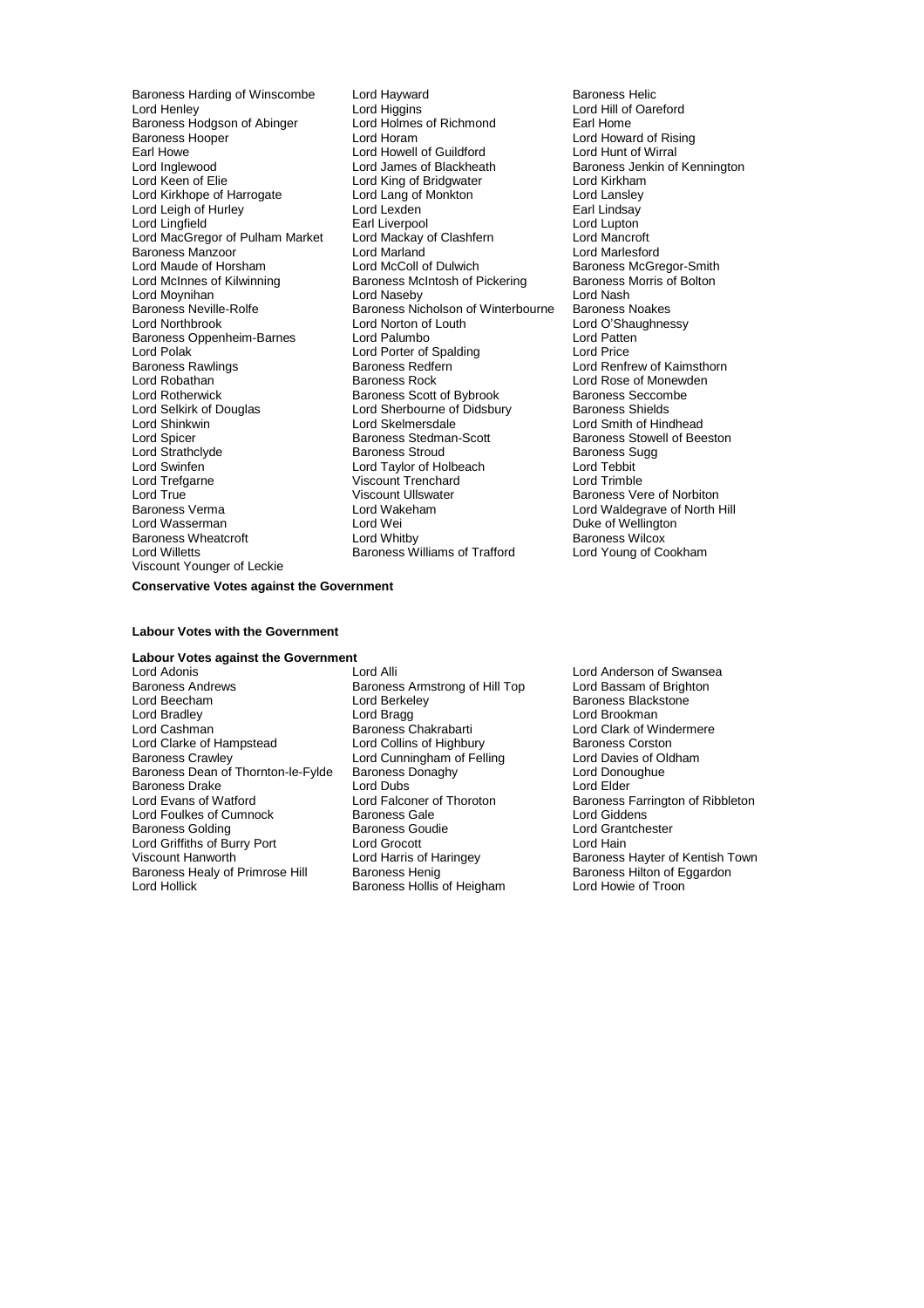Baroness Hodgson of Abinger Lord Holmes<br>Baroness Hooper Lord Horam Earl Howe **Lord Howell of Guildford**<br>
Lord Inglewood **Lord Lord James of Blackheath** Baroness Manzoor<br>
Lord Maude of Horsham<br>
Lord McColl of Dulwich Lord Polak in the Lord Porter of Spalding Baroness Rawlings<br>
Baroness Rawlings **Lord Price Price Price Price Price Price Price Price Price Price Price Price Price Price Pri** Lord Selkirk of Douglas<br>
Lord Sherbourne of Didsbury<br>
Lord Skelmersdale Lord Trefgarne Viscount Trenchard<br>
Lord True Viscount Ullswater Viscount Younger of Leckie

Baroness Harding of Winscombe Lord Hayward<br>
Lord Hord Hord Higgins
Lord Hord Hill of Oare Lord Higgins<br>
Lord Holmes of Richmond<br>
Lord Holmes of Richmond<br>
Larl Home Baroness Hooper Lord Horam Lord Horam Lord Howard of Rising<br>
Earl Howe Lord Howal of Guildford Lord Hunt of Wirral Lord Inglewood **Lord James of Blackheath** Baroness Jenkin of Kennington<br>
Lord Keen of Elie **Britan Lord King of Bridgwater** Lord Kirkham Lord King of Bridgwater Lord Kirkham<br>Lord Lang of Monkton Lord Lansley Lord Kirkhope of Harrogate Lord Lang of Monkton Cord Lang Lord Lansley<br>
Lord Leigh of Hurley Lord Lexden Lord Lexden Lindsay Lord Leigh of Hurley **Lord Lexden** Earl Lindsay<br>
Lord Lingfield **Earl Lindsay**<br>
Lord Lingfield **Earl Lingfield** Earl Liverpool Lord Lingfield **Earl Liverpool** Earl Liverpool Lord Lupton<br>
Lord MacGregor of Pulham Market Lord Mackay of Clashfern **Lord Mancroft** Lord MacGregor of Pulham Market Lord Mackay of Clashfern Lord Mancroft Lord Maude of Horsham **Lord McColl of Dulwich** Baroness McGregor-Smith Lord McLord McGoll of Dulwich Baroness McGregor-Smith Lord McInnes of Kilwinning Baroness McIntosh of Pickering Baroness Morris of Bolton Baroness McIntosh of Pickering Baroness I<br>Lord Naseby **Baroness I** Lord Moynihan **Lord Maseby** Lord Naseby **Lord Moynihan**<br>
Baroness Neville-Rolfe **Research Constructs Baroness Network** Baroness Noakes Baroness Neville-Rolfe Baroness Nicholson of Winterbourne<br>
Lord Northbrook Baroness Nicholson of Louth Lord Norton of Louth<br>
Lord Palumbo<br>
Lord Patten Baroness Oppenheim-Barnes Lord Palumbo<br>
Lord Polak Lord Porter of Spalding<br>
Lord Polak Lord Price Baroness Rawlings **Baroness Redfern** Baroness Redfern Lord Renfrew of Kaimsthorn<br>
Lord Robathan **Baroness Rock** Baroness Rock Lord Rose of Monewden Lord Robathan The Corress Rock Lord Rose of Monewden<br>Lord Rotherwick **Rational Baroness Scott of Bybrook** Baroness Seccombe Lord Rotherwick **Baroness Scott of Bybrook** Baroness Seccom<br>
Lord Selkirk of Douglas **Baroness Shields**<br>
Lord Sherbourne of Didsbury Baroness Shields Lord Shinkwin **Lord Skelmersdale** Lord Shinkwin Lord Shinkwin Lord Shinkwin Lord Shinkwin Lord Shines Controller<br>
Baroness Stedman-Scott **Baroness Stedman-Scott** Baroness Stowell of Bee Lord Spicer **Baroness Stedman-Scott** Baroness Stowell of Beeston<br>
Baroness Stroud<br>
Baroness Sugg Lord Strathclyde Baroness Stroud Baroness Sugg Lord Swinfen Lord Taylor of Holbeach Lord Tebbit Lord True Viscount Ullswater Charles Viscount Ullswater Charles Vere of Norbiton<br>
Baroness Verma Charles Lord Wakeham Charles Lord Waldegrave of North I Baroness Verma **Example 2** Lord Wakeham **Construent Construent Lord Waldegrave of North Hill Lord Waldegrave of North Hill Lord Wei** Lord Wei New Lord Weilington<br>Lord Whitby New Hormoness Wilcox Baroness Wheatcroft **Lord Whitby** Lord Whitby **Baroness Wilcox**<br>
Lord Willetts **Baroness Williams of Trafford** Lord Young of Cookham Baroness Williams of Trafford

#### **Conservative Votes against the Government**

#### **Labour Votes with the Government**

## **Labour Votes against the Government**

Lord Adonis **Lord Alli** Lord Alli Lord Anderson of Swansea<br>
Baroness Andrews **Baroness Armstrong of Hill Top** Lord Bassam of Brighton Baroness Andrews Baroness Armstrong of Hill Top Lord Beecham<br>
Lord Beecham<br>
Lord Berkeley Lord Beecham Lord Berkeley Baroness Blackstone Lord Bradley **Lord Bragg Lord Bragg Lord Bragg Lord Bragg Lord Bragg Lord Bragg Lord Bragg Lord Bragg Lord Bragg Lord Bragg Lord Bragg Lord Bragg Lord Bragg Lord Bragg Lord Bragg Lord Bragg Lord Bragg Lord Bragg Lord Bragg** Lord Clarke of Hampstead Lord Collins of Highbury Baroness Corston<br>Baroness Crawley Lord Cunningham of Felling Lord Davies of Oldham Baroness Crawley **Lord Cunningham of Felling Lord Davies of Oldham** Baroness Dean of Thornton-le-Fylde Baroness Donaghy The Lord Donoughue Baroness Drake Lord Cord Cord Dubs Lord Elder Lord Evans of Watford Cord Cord Elder Lord Elder Lord Elder Lord Elder Lord Elder Lord Elder Lord Elder Lord Elder Lord Elder Lord Elder Lord Elder Lord Elder Lord Elder Lord E Lord Foulkes of Cumnock Baroness Gale<br>Baroness Golding Baroness Goudie Lord Griffiths of Burry Port Lord Grocott<br>
Viscount Hanworth Lord Harris of Haringey Baroness Healy of Primrose Hill Baroness Henig Baroness Henig Baroness Hilton of E<br>
Lord Hollick Baroness Hollis of Heigham Lord Howie of Troon

Exampless Chakrabarti **Lord Clark of Windermere**<br>
Lord Collins of Highbury<br>
Baroness Corston Baroness Goudie **Baroness Goudie Lord Grantchester**<br>
Lord Grocott **Lord Hain** Baroness Hollis of Heigham

Lord Ealconer of Thoroton **Baroness Farrington of Ribbleton**<br>Baroness Gale **Baroness Farrington** Baroness Cale Lord Harris of Haringey **Baroness Hayter of Kentish Town**<br>
Baroness Henig<br>
Baroness Hilton of Eggardon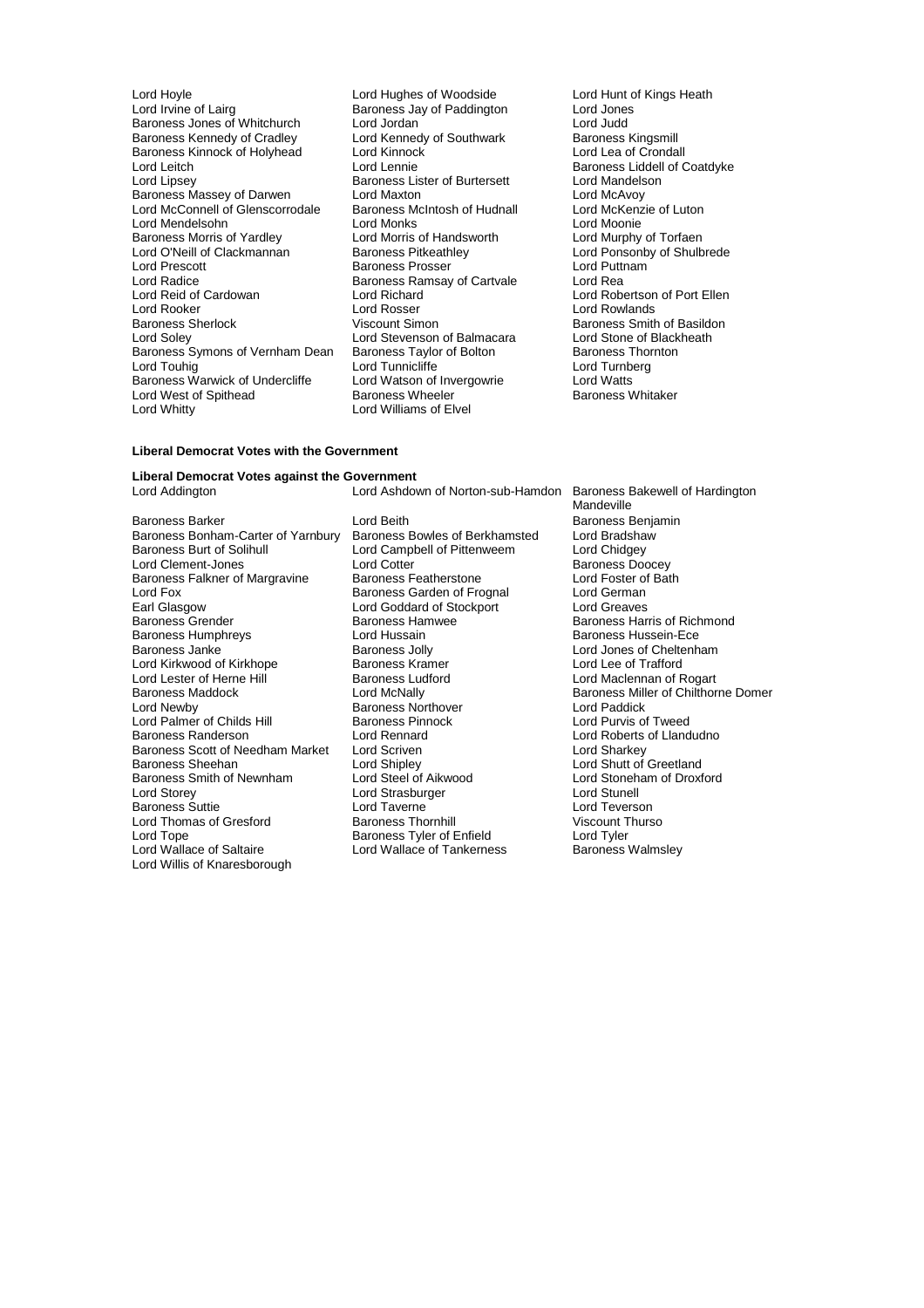- Lord Hoyle **Lord Hughes of Woodside** Lord Hunt of Kings Heath<br>
Lord Irvine of Lairg **Constant Baroness Jay of Paddington** Lord Jones Baroness Jones of Whitchurch Lord Jordan Lord Judd<br>
Baroness Kennedy of Cradley Lord Kennedy of Southwark Baroness Kingsmill Baroness Kennedy of Cradley Lord Kennedy of Southwark Baroness Kingsmill<br>Baroness Kinnock of Holyhead Lord Kinnock Lord Lord Lea of Crondall Baroness Kinnock of Holyhead Lord Kinnock<br>
Lord Leitch Crondall Lord Lennie Lord Leitch **Lord Lennie** Lord Lennie **Baroness Liddell of Coatdyke**<br>
Lord Lipsey **Baroness Lister of Burtersett** Lord Mandelson Baroness Massey of Darwen Lord Maxton Lord McAvoy Lord McConnell of Glenscorrodale Baroness McIntosh of Hudnall Lord McKenz<br>
Lord Mendelsohn Lord Monie Lord Monks Lord Mendelsohn Lord Monks<br>
Baroness Morris of Yardlev Lord Morris of Handsworth Baroness Morris of Yardley **Lord Morris of Handsworth** Lord Murphy of Torfaen<br>
Lord O'Neill of Clackmannan Baroness Pitkeathley Lord Ponsonby of Shulb Lord O'Neill of Clackmannan Baroness Pitkeathley Lord Ponsonby of Shulbrede Lord Prescott Baroness Prosser Lord Puttnam Lord Radice **Baroness Ramsay of Cartvale**<br>
Lord Reading Lord Richard<br>
Lord Reading Lord Richard Lord Reid of Cardowan Lord Richard Lord Robertson of Port Ellen Lord Rooker Lord Rosser Lord Rosser Lord Rowlands<br>Baroness Sherlock Corresponding Viscount Simon Corresponding Baroness Smith Baroness Sherlock **Viscount Simon** Baroness Smith of Basildon<br>
Lord Soley **Consumersity** Lord Stevenson of Balmacara 
Lord Stone of Blackheath Baroness Symons of Vernham Dean Baroness Taylor of Bolton Baroness Thorness Thorness Thorness Thorness Thornes<br>Lord Turnberg Lord Turnberg Lord Touhig Lord Tunnicliffe Lord Tunnicliffe Lord Turnberg Baroness Warwick of Undercliffe Lord Watson of Invergowrie Lord Watts Lord West of Spithead **Baroness Wheeler Baroness Whitaker** Baroness Whitaker<br>
Lord Whitty **Baroness Whitaker** Lord Williams of Elvel
	- Baroness Jay of Paddington Lord Jones<br>
	Lord Jordan Lord Judd **Baroness Lister of Burtersett** Lord Mandels<br>
	Lord Maxton Lord McAvoy Lord Stevenson of Balmacara Lord Stone of Black<br>
	Baroness Taylor of Bolton Baroness Thornton Lord Williams of Elvel
		-

#### **Liberal Democrat Votes with the Government**

## **Liberal Democrat Votes against the Government**

Baroness Barker Lord Beith Lord Beith Baroness Benjamin<br>Baroness Bonham-Carter of Yarnbury Baroness Bowles of Berkhamsted Lord Bradshaw Baroness Bonham-Carter of Yarnbury Baroness Bowles of Berkhamsted Lord Bradsha<br>Baroness Burt of Solihull Lord Campbell of Pittenweem Lord Chidgey Lord Clement-Jones Baroness Falkner of Margravine Baroness Featherstone **Baroness Lord Foster of Bath**<br>
Lord Fox Cord Cerman<br>
Lord German Lord Fox **Baroness Garden of Frognal** Lord German<br>
Earl Glasgow **Baroness Garden of Stockport** Lord Greaves Earl Glasgow **Lord Goddard of Stockport**<br> **Baroness Grender** Baroness Hamwee Baroness Humphreys Lord Hussain<br>Baroness Janke Communisty Baroness Jolly Lord Kirkwood of Kirkhope **Baroness Kramer** Baroness Kramer Lord Lee of Trafford<br>
Lord Lester of Herne Hill **Baroness** Ludford **Baroness Ludford** Lord Maclennan of Rogart Lord Lester of Herne Hill Baroness Luc<br>Baroness Maddock **Lord McNally** Lord Palmer of Childs Hill<br>Baroness Randerson Baroness Scott of Needham Market Lord Scriven<br>Baroness Sheehan Lord Shipley Baroness Sheehan Lord Shipley Lord Shutt of Greetland<br>Baroness Smith of Newnham Lord Steel of Aikwood Lord Stoneham of Droxf Baroness Smith of Newnham Lord Steel of Aikwood Lord Stoneham of Droxford<br>
Lord Storev
Lord Stunell
Lord Stunell
Lord Stunell
Lord Stunell
Lord Stunell
Lord Stunell
Lord Stunell
Lord Stunell
Lord Stunell

Lord Stunell Baroness Suttie Lord Taverne Lord Taverne Lord Teverson<br>Lord Thomas of Gresford Baroness Thornhill Lord Thurson Lord Thurson Lord Thomas of Gresford Lord Tope **Communist Communist Communist Communist Communist Communist Communist Communist Communist Communist**<br>
Lord Wallace of Saltaire **Lord Wallace of Tankerness** Baroness Walmsley Lord Willis of Knaresborough

**Lord Campbell of Pittenweem Lord Chidgey<br>
Lord Cotter Context Baroness Doocev** Baroness Hamwee Baroness Harris of Richmond<br>
Lord Hussain Baroness Hussein-Ece Baroness Jolly **Cheltenham**<br>
Baroness Kramer<br>
Lord Lee of Trafford **Baroness Northover Communist Control Control Control Control Control Baroness Pinnock**<br>
Lord Purvis of Tweed Lord Rennard **Example 2** Lord Roberts of Llandudno<br>
Lord Scriven **Lord Sharkey** Lord Strasburger and Lord Stunell<br>
Lord Taverne **Lord Teverson** Lord Wallace of Tankerness

Lord Ashdown of Norton-sub-Hamdon Baroness Bakewell of Hardington Mandeville Baroness Maddock Lord McNally Baroness Miller of Chilthorne Domer